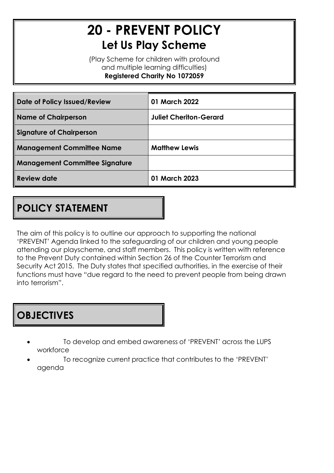# **20 - PREVENT POLICY Let Us Play Scheme**

(Play Scheme for children with profound and multiple learning difficulties) **Registered Charity No 1072059**

| Date of Policy Issued/Review          | 01 March 2022                 |
|---------------------------------------|-------------------------------|
| <b>Name of Chairperson</b>            | <b>Juliet Cheriton-Gerard</b> |
| <b>Signature of Chairperson</b>       |                               |
| <b>Management Committee Name</b>      | <b>Matthew Lewis</b>          |
| <b>Management Committee Signature</b> |                               |
| <b>Review date</b>                    | 01 March 2023                 |

# **POLICY STATEMENT**

The aim of this policy is to outline our approach to supporting the national 'PREVENT' Agenda linked to the safeguarding of our children and young people attending our playscheme, and staff members. This policy is written with reference to the Prevent Duty contained within Section 26 of the Counter Terrorism and Security Act 2015. The Duty states that specified authorities, in the exercise of their functions must have "due regard to the need to prevent people from being drawn into terrorism".

### **OBJECTIVES**

- To develop and embed awareness of 'PREVENT' across the LUPS workforce
- To recognize current practice that contributes to the 'PREVENT' agenda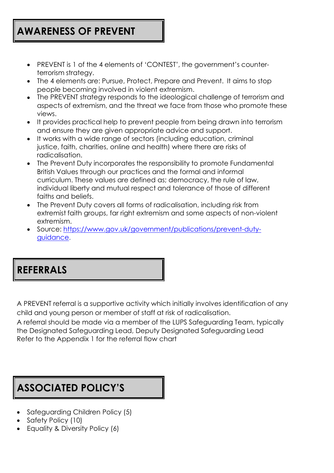### **AWARENESS OF PREVENT**

- PREVENT is 1 of the 4 elements of 'CONTEST', the government's counterterrorism strategy.
- The 4 elements are: Pursue, Protect, Prepare and Prevent. It aims to stop people becoming involved in violent extremism.
- The PREVENT strategy responds to the ideological challenge of terrorism and aspects of extremism, and the threat we face from those who promote these views.
- It provides practical help to prevent people from being drawn into terrorism and ensure they are given appropriate advice and support.
- It works with a wide range of sectors (including education, criminal justice, faith, charities, online and health) where there are risks of radicalisation.
- The Prevent Duty incorporates the responsibility to promote Fundamental British Values through our practices and the formal and informal curriculum. These values are defined as; democracy, the rule of law, individual liberty and mutual respect and tolerance of those of different faiths and beliefs.
- The Prevent Duty covers all forms of radicalisation, including risk from extremist faith groups, far right extremism and some aspects of non-violent extremism.
- Source: https:/[/www.gov.uk/government/publications/prevent-duty](http://www.gov.uk/government/publications/prevent-duty-guidance)[guidance.](http://www.gov.uk/government/publications/prevent-duty-guidance)

#### **REFERRALS**

A PREVENT referral is a supportive activity which initially involves identification of any child and young person or member of staff at risk of radicalisation.

A referral should be made via a member of the LUPS Safeguarding Team, typically the Designated Safeguarding Lead, Deputy Designated Safeguarding Lead Refer to the Appendix 1 for the referral flow chart

# **ASSOCIATED POLICY'S**

- Safeguarding Children Policy (5)
- Safety Policy (10)
- Equality & Diversity Policy (6)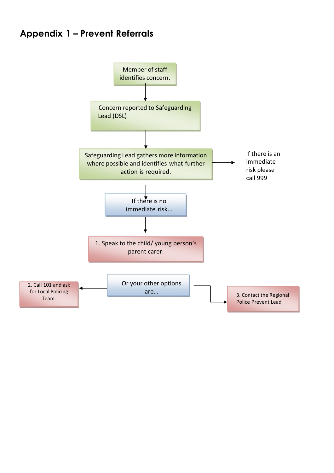#### **Appendix 1 – Prevent Referrals**